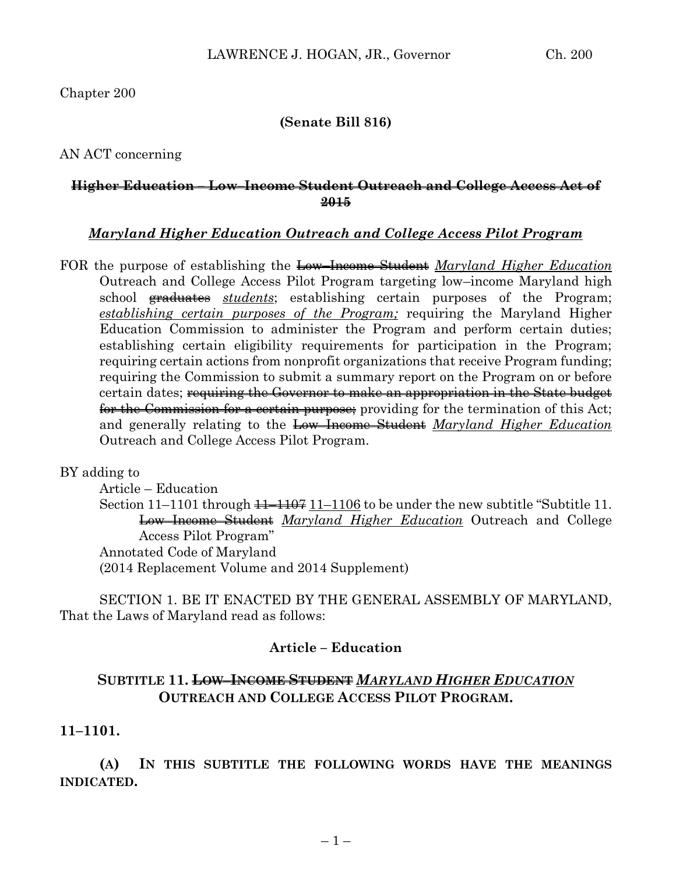Chapter 200

### **(Senate Bill 816)**

AN ACT concerning

### **Higher Education – Low–Income Student Outreach and College Access Act of 2015**

### *Maryland Higher Education Outreach and College Access Pilot Program*

FOR the purpose of establishing the Low–Income Student *Maryland Higher Education* Outreach and College Access Pilot Program targeting low–income Maryland high school graduates *students*; establishing certain purposes of the Program; *establishing certain purposes of the Program;* requiring the Maryland Higher Education Commission to administer the Program and perform certain duties; establishing certain eligibility requirements for participation in the Program; requiring certain actions from nonprofit organizations that receive Program funding; requiring the Commission to submit a summary report on the Program on or before certain dates; <del>requiring the Governor to make an appropriation in the State budget</del> for the Commission for a certain purpose; providing for the termination of this Act; and generally relating to the Low–Income Student *Maryland Higher Education* Outreach and College Access Pilot Program.

BY adding to

Article – Education Section  $11-1101$  through  $\frac{11-1107}{11-1106}$  to be under the new subtitle "Subtitle 11. Low–Income Student *Maryland Higher Education* Outreach and College Access Pilot Program" Annotated Code of Maryland (2014 Replacement Volume and 2014 Supplement)

SECTION 1. BE IT ENACTED BY THE GENERAL ASSEMBLY OF MARYLAND, That the Laws of Maryland read as follows:

### **Article – Education**

## **SUBTITLE 11. LOW–INCOME STUDENT** *MARYLAND HIGHER EDUCATION* **OUTREACH AND COLLEGE ACCESS PILOT PROGRAM.**

### **11–1101.**

**(A) IN THIS SUBTITLE THE FOLLOWING WORDS HAVE THE MEANINGS INDICATED.**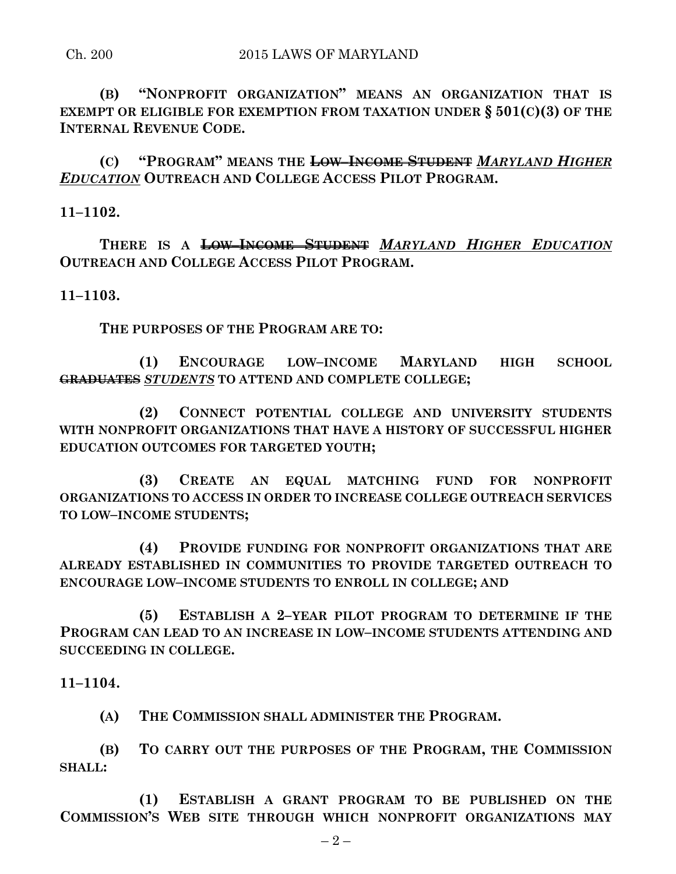**(B) "NONPROFIT ORGANIZATION" MEANS AN ORGANIZATION THAT IS EXEMPT OR ELIGIBLE FOR EXEMPTION FROM TAXATION UNDER § 501(C)(3) OF THE INTERNAL REVENUE CODE.**

**(C) "PROGRAM" MEANS THE LOW–INCOME STUDENT** *MARYLAND HIGHER EDUCATION* **OUTREACH AND COLLEGE ACCESS PILOT PROGRAM.**

**11–1102.**

**THERE IS A LOW–INCOME STUDENT** *MARYLAND HIGHER EDUCATION* **OUTREACH AND COLLEGE ACCESS PILOT PROGRAM.**

**11–1103.**

**THE PURPOSES OF THE PROGRAM ARE TO:**

**(1) ENCOURAGE LOW–INCOME MARYLAND HIGH SCHOOL GRADUATES** *STUDENTS* **TO ATTEND AND COMPLETE COLLEGE;**

**(2) CONNECT POTENTIAL COLLEGE AND UNIVERSITY STUDENTS WITH NONPROFIT ORGANIZATIONS THAT HAVE A HISTORY OF SUCCESSFUL HIGHER EDUCATION OUTCOMES FOR TARGETED YOUTH;**

**(3) CREATE AN EQUAL MATCHING FUND FOR NONPROFIT ORGANIZATIONS TO ACCESS IN ORDER TO INCREASE COLLEGE OUTREACH SERVICES TO LOW–INCOME STUDENTS;**

**(4) PROVIDE FUNDING FOR NONPROFIT ORGANIZATIONS THAT ARE ALREADY ESTABLISHED IN COMMUNITIES TO PROVIDE TARGETED OUTREACH TO ENCOURAGE LOW–INCOME STUDENTS TO ENROLL IN COLLEGE; AND**

**(5) ESTABLISH A 2–YEAR PILOT PROGRAM TO DETERMINE IF THE PROGRAM CAN LEAD TO AN INCREASE IN LOW–INCOME STUDENTS ATTENDING AND SUCCEEDING IN COLLEGE.**

**11–1104.**

**(A) THE COMMISSION SHALL ADMINISTER THE PROGRAM.**

**(B) TO CARRY OUT THE PURPOSES OF THE PROGRAM, THE COMMISSION SHALL:**

**(1) ESTABLISH A GRANT PROGRAM TO BE PUBLISHED ON THE COMMISSION'S WEB SITE THROUGH WHICH NONPROFIT ORGANIZATIONS MAY**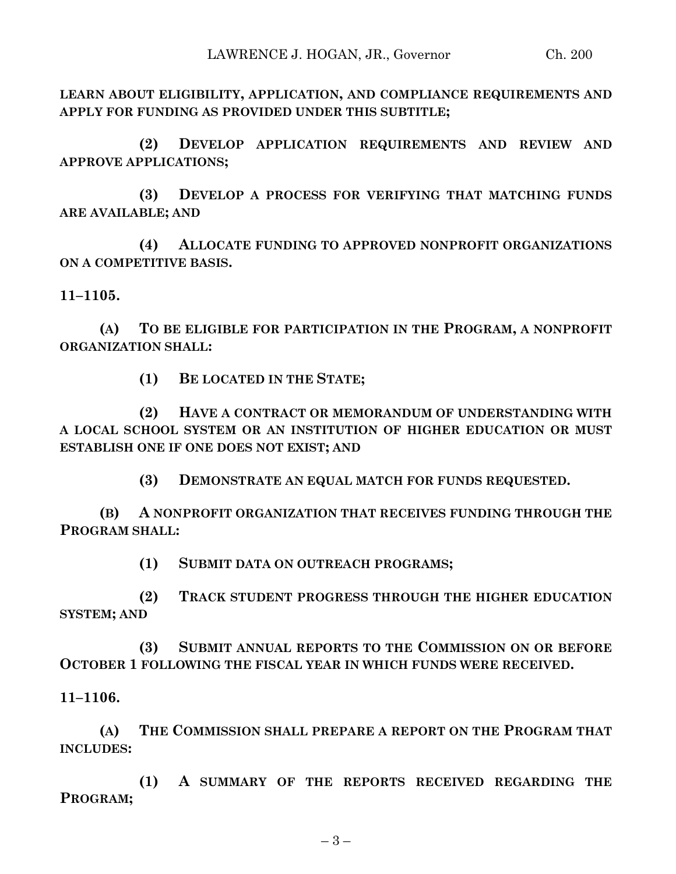**LEARN ABOUT ELIGIBILITY, APPLICATION, AND COMPLIANCE REQUIREMENTS AND APPLY FOR FUNDING AS PROVIDED UNDER THIS SUBTITLE;**

**(2) DEVELOP APPLICATION REQUIREMENTS AND REVIEW AND APPROVE APPLICATIONS;**

**(3) DEVELOP A PROCESS FOR VERIFYING THAT MATCHING FUNDS ARE AVAILABLE; AND**

**(4) ALLOCATE FUNDING TO APPROVED NONPROFIT ORGANIZATIONS ON A COMPETITIVE BASIS.**

**11–1105.**

**(A) TO BE ELIGIBLE FOR PARTICIPATION IN THE PROGRAM, A NONPROFIT ORGANIZATION SHALL:**

**(1) BE LOCATED IN THE STATE;**

**(2) HAVE A CONTRACT OR MEMORANDUM OF UNDERSTANDING WITH A LOCAL SCHOOL SYSTEM OR AN INSTITUTION OF HIGHER EDUCATION OR MUST ESTABLISH ONE IF ONE DOES NOT EXIST; AND**

**(3) DEMONSTRATE AN EQUAL MATCH FOR FUNDS REQUESTED.**

**(B) A NONPROFIT ORGANIZATION THAT RECEIVES FUNDING THROUGH THE PROGRAM SHALL:**

**(1) SUBMIT DATA ON OUTREACH PROGRAMS;**

**(2) TRACK STUDENT PROGRESS THROUGH THE HIGHER EDUCATION SYSTEM; AND** 

**(3) SUBMIT ANNUAL REPORTS TO THE COMMISSION ON OR BEFORE OCTOBER 1 FOLLOWING THE FISCAL YEAR IN WHICH FUNDS WERE RECEIVED.**

**11–1106.**

**(A) THE COMMISSION SHALL PREPARE A REPORT ON THE PROGRAM THAT INCLUDES:**

**(1) A SUMMARY OF THE REPORTS RECEIVED REGARDING THE PROGRAM;**